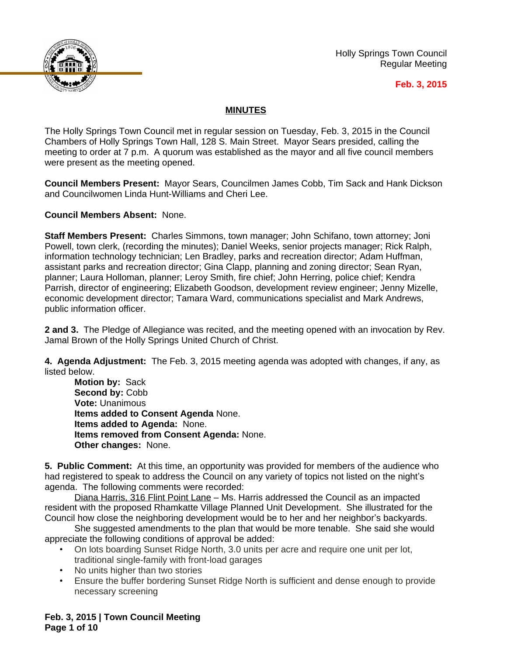

Holly Springs Town Council Regular Meeting

## **Feb. 3, 2015**

## **MINUTES**

The Holly Springs Town Council met in regular session on Tuesday, Feb. 3, 2015 in the Council Chambers of Holly Springs Town Hall, 128 S. Main Street. Mayor Sears presided, calling the meeting to order at 7 p.m. A quorum was established as the mayor and all five council members were present as the meeting opened.

**Council Members Present:** Mayor Sears, Councilmen James Cobb, Tim Sack and Hank Dickson and Councilwomen Linda Hunt-Williams and Cheri Lee.

**Council Members Absent:** None.

**Staff Members Present:** Charles Simmons, town manager; John Schifano, town attorney; Joni Powell, town clerk, (recording the minutes); Daniel Weeks, senior projects manager; Rick Ralph, information technology technician; Len Bradley, parks and recreation director; Adam Huffman, assistant parks and recreation director; Gina Clapp, planning and zoning director; Sean Ryan, planner; Laura Holloman, planner; Leroy Smith, fire chief; John Herring, police chief; Kendra Parrish, director of engineering; Elizabeth Goodson, development review engineer; Jenny Mizelle, economic development director; Tamara Ward, communications specialist and Mark Andrews, public information officer.

**2 and 3.** The Pledge of Allegiance was recited, and the meeting opened with an invocation by Rev. Jamal Brown of the Holly Springs United Church of Christ.

**4. Agenda Adjustment:** The Feb. 3, 2015 meeting agenda was adopted with changes, if any, as listed below.

**Motion by:** Sack Second by: Cobb **Vote:** Unanimous **Items added to Consent Agenda** None. **Items added to Agenda:** None. **Items removed from Consent Agenda:** None. **Other changes:** None.

**5. Public Comment:** At this time, an opportunity was provided for members of the audience who had registered to speak to address the Council on any variety of topics not listed on the night's agenda. The following comments were recorded:

Diana Harris, 316 Flint Point Lane – Ms. Harris addressed the Council as an impacted resident with the proposed Rhamkatte Village Planned Unit Development. She illustrated for the Council how close the neighboring development would be to her and her neighbor's backyards.

She suggested amendments to the plan that would be more tenable. She said she would appreciate the following conditions of approval be added:

- On lots boarding Sunset Ridge North, 3.0 units per acre and require one unit per lot, traditional single-family with front-load garages
- No units higher than two stories
- Ensure the buffer bordering Sunset Ridge North is sufficient and dense enough to provide necessary screening

**Feb. 3, 2015 | Town Council Meeting Page 1 of 10**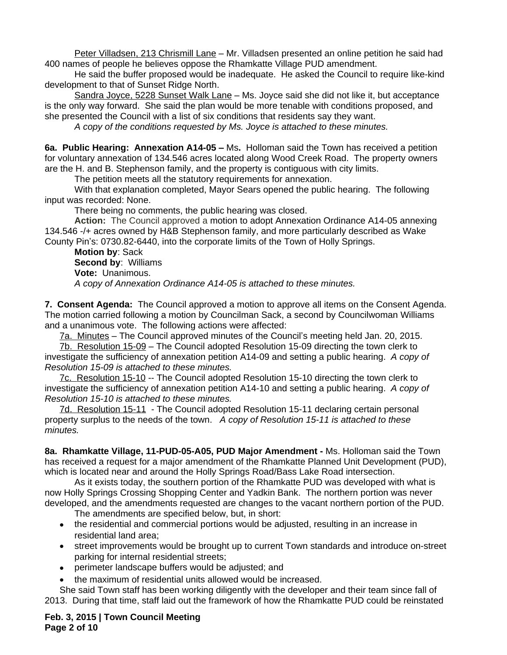Peter Villadsen, 213 Chrismill Lane – Mr. Villadsen presented an online petition he said had 400 names of people he believes oppose the Rhamkatte Village PUD amendment.

He said the buffer proposed would be inadequate. He asked the Council to require like-kind development to that of Sunset Ridge North.

Sandra Joyce, 5228 Sunset Walk Lane - Ms. Joyce said she did not like it, but acceptance is the only way forward. She said the plan would be more tenable with conditions proposed, and she presented the Council with a list of six conditions that residents say they want.

*A copy of the conditions requested by Ms. Joyce is attached to these minutes.*

**6a. Public Hearing: Annexation A14-05 –** Ms**.** Holloman said the Town has received a petition for voluntary annexation of 134.546 acres located along Wood Creek Road. The property owners are the H. and B. Stephenson family, and the property is contiguous with city limits.

The petition meets all the statutory requirements for annexation.

With that explanation completed, Mayor Sears opened the public hearing. The following input was recorded: None.

There being no comments, the public hearing was closed.

**Action:** The Council approved a motion to adopt Annexation Ordinance A14-05 annexing 134.546 -/+ acres owned by H&B Stephenson family, and more particularly described as Wake County Pin's: 0730.82-6440, into the corporate limits of the Town of Holly Springs.

**Motion by**: Sack **Second by**: Williams **Vote:** Unanimous. *A copy of Annexation Ordinance A14-05 is attached to these minutes.*

**7. Consent Agenda:** The Council approved a motion to approve all items on the Consent Agenda. The motion carried following a motion by Councilman Sack, a second by Councilwoman Williams and a unanimous vote. The following actions were affected:

7a. Minutes – The Council approved minutes of the Council's meeting held Jan. 20, 2015.

7b. Resolution 15-09 – The Council adopted Resolution 15-09 directing the town clerk to investigate the sufficiency of annexation petition A14-09 and setting a public hearing.*A copy of Resolution 15-09 is attached to these minutes.*

7c. Resolution 15-10 -- The Council adopted Resolution 15-10 directing the town clerk to investigate the sufficiency of annexation petition A14-10 and setting a public hearing. *A copy of Resolution 15-10 is attached to these minutes.*

7d. Resolution 15-11 - The Council adopted Resolution 15-11 declaring certain personal property surplus to the needs of the town. *A copy of Resolution 15-11 is attached to these minutes.*

**8a. Rhamkatte Village, 11-PUD-05-A05, PUD Major Amendment -** Ms. Holloman said the Town has received a request for a major amendment of the Rhamkatte Planned Unit Development (PUD), which is located near and around the Holly Springs Road/Bass Lake Road intersection.

As it exists today, the southern portion of the Rhamkatte PUD was developed with what is now Holly Springs Crossing Shopping Center and Yadkin Bank. The northern portion was never developed, and the amendments requested are changes to the vacant northern portion of the PUD.

The amendments are specified below, but, in short:

- the residential and commercial portions would be adjusted, resulting in an increase in residential land area;
- street improvements would be brought up to current Town standards and introduce on-street parking for internal residential streets;
- perimeter landscape buffers would be adjusted; and
- the maximum of residential units allowed would be increased.

She said Town staff has been working diligently with the developer and their team since fall of 2013. During that time, staff laid out the framework of how the Rhamkatte PUD could be reinstated

**Feb. 3, 2015 | Town Council Meeting Page 2 of 10**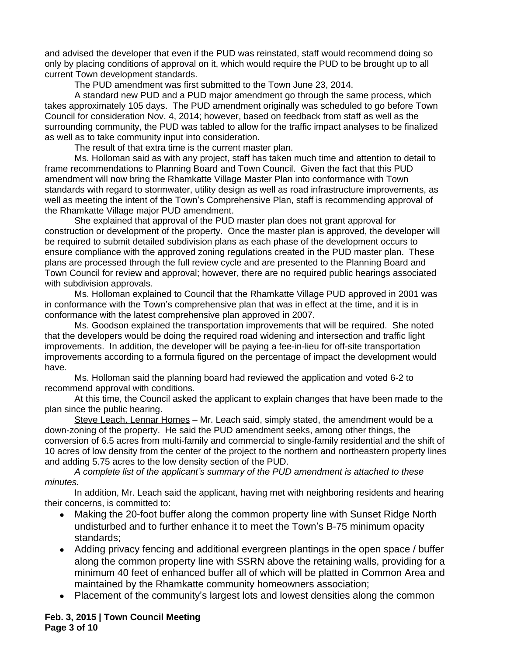and advised the developer that even if the PUD was reinstated, staff would recommend doing so only by placing conditions of approval on it, which would require the PUD to be brought up to all current Town development standards.

The PUD amendment was first submitted to the Town June 23, 2014.

A standard new PUD and a PUD major amendment go through the same process, which takes approximately 105 days. The PUD amendment originally was scheduled to go before Town Council for consideration Nov. 4, 2014; however, based on feedback from staff as well as the surrounding community, the PUD was tabled to allow for the traffic impact analyses to be finalized as well as to take community input into consideration.

The result of that extra time is the current master plan.

Ms. Holloman said as with any project, staff has taken much time and attention to detail to frame recommendations to Planning Board and Town Council. Given the fact that this PUD amendment will now bring the Rhamkatte Village Master Plan into conformance with Town standards with regard to stormwater, utility design as well as road infrastructure improvements, as well as meeting the intent of the Town's Comprehensive Plan, staff is recommending approval of the Rhamkatte Village major PUD amendment.

She explained that approval of the PUD master plan does not grant approval for construction or development of the property. Once the master plan is approved, the developer will be required to submit detailed subdivision plans as each phase of the development occurs to ensure compliance with the approved zoning regulations created in the PUD master plan. These plans are processed through the full review cycle and are presented to the Planning Board and Town Council for review and approval; however, there are no required public hearings associated with subdivision approvals.

Ms. Holloman explained to Council that the Rhamkatte Village PUD approved in 2001 was in conformance with the Town's comprehensive plan that was in effect at the time, and it is in conformance with the latest comprehensive plan approved in 2007.

Ms. Goodson explained the transportation improvements that will be required. She noted that the developers would be doing the required road widening and intersection and traffic light improvements. In addition, the developer will be paying a fee-in-lieu for off-site transportation improvements according to a formula figured on the percentage of impact the development would have.

Ms. Holloman said the planning board had reviewed the application and voted 6-2 to recommend approval with conditions.

At this time, the Council asked the applicant to explain changes that have been made to the plan since the public hearing.

Steve Leach, Lennar Homes – Mr. Leach said, simply stated, the amendment would be a down-zoning of the property. He said the PUD amendment seeks, among other things, the conversion of 6.5 acres from multi-family and commercial to single-family residential and the shift of 10 acres of low density from the center of the project to the northern and northeastern property lines and adding 5.75 acres to the low density section of the PUD.

*A complete list of the applicant's summary of the PUD amendment is attached to these minutes.*

In addition, Mr. Leach said the applicant, having met with neighboring residents and hearing their concerns, is committed to:

- Making the 20-foot buffer along the common property line with Sunset Ridge North undisturbed and to further enhance it to meet the Town's B-75 minimum opacity standards;
- Adding privacy fencing and additional evergreen plantings in the open space / buffer along the common property line with SSRN above the retaining walls, providing for a minimum 40 feet of enhanced buffer all of which will be platted in Common Area and maintained by the Rhamkatte community homeowners association;
- Placement of the community's largest lots and lowest densities along the common

**Feb. 3, 2015 | Town Council Meeting Page 3 of 10**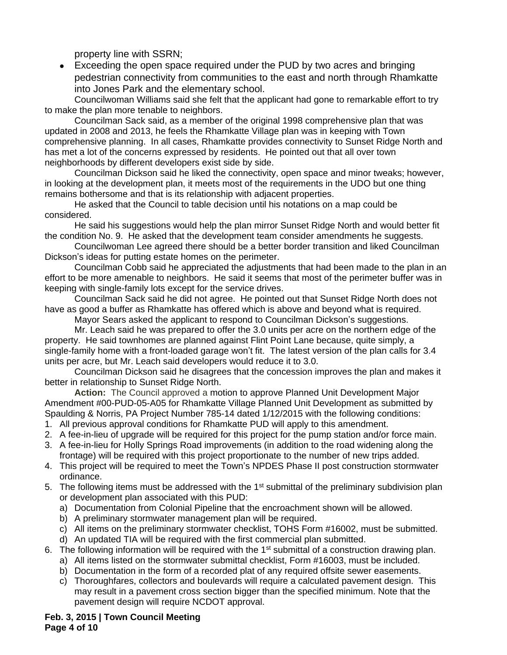property line with SSRN;

 Exceeding the open space required under the PUD by two acres and bringing pedestrian connectivity from communities to the east and north through Rhamkatte into Jones Park and the elementary school.

Councilwoman Williams said she felt that the applicant had gone to remarkable effort to try to make the plan more tenable to neighbors.

Councilman Sack said, as a member of the original 1998 comprehensive plan that was updated in 2008 and 2013, he feels the Rhamkatte Village plan was in keeping with Town comprehensive planning. In all cases, Rhamkatte provides connectivity to Sunset Ridge North and has met a lot of the concerns expressed by residents. He pointed out that all over town neighborhoods by different developers exist side by side.

Councilman Dickson said he liked the connectivity, open space and minor tweaks; however, in looking at the development plan, it meets most of the requirements in the UDO but one thing remains bothersome and that is its relationship with adjacent properties.

He asked that the Council to table decision until his notations on a map could be considered.

He said his suggestions would help the plan mirror Sunset Ridge North and would better fit the condition No. 9. He asked that the development team consider amendments he suggests.

Councilwoman Lee agreed there should be a better border transition and liked Councilman Dickson's ideas for putting estate homes on the perimeter.

Councilman Cobb said he appreciated the adjustments that had been made to the plan in an effort to be more amenable to neighbors. He said it seems that most of the perimeter buffer was in keeping with single-family lots except for the service drives.

Councilman Sack said he did not agree. He pointed out that Sunset Ridge North does not have as good a buffer as Rhamkatte has offered which is above and beyond what is required.

Mayor Sears asked the applicant to respond to Councilman Dickson's suggestions.

Mr. Leach said he was prepared to offer the 3.0 units per acre on the northern edge of the property. He said townhomes are planned against Flint Point Lane because, quite simply, a single-family home with a front-loaded garage won't fit. The latest version of the plan calls for 3.4 units per acre, but Mr. Leach said developers would reduce it to 3.0.

Councilman Dickson said he disagrees that the concession improves the plan and makes it better in relationship to Sunset Ridge North.

**Action:** The Council approved a motion to approve Planned Unit Development Major Amendment #00-PUD-05-A05 for Rhamkatte Village Planned Unit Development as submitted by Spaulding & Norris, PA Project Number 785-14 dated 1/12/2015 with the following conditions:

- 1. All previous approval conditions for Rhamkatte PUD will apply to this amendment.
- 2. A fee-in-lieu of upgrade will be required for this project for the pump station and/or force main.
- 3. A fee-in-lieu for Holly Springs Road improvements (in addition to the road widening along the frontage) will be required with this project proportionate to the number of new trips added.
- 4. This project will be required to meet the Town's NPDES Phase II post construction stormwater ordinance.
- 5. The following items must be addressed with the 1<sup>st</sup> submittal of the preliminary subdivision plan or development plan associated with this PUD:
	- a) Documentation from Colonial Pipeline that the encroachment shown will be allowed.
	- b) A preliminary stormwater management plan will be required.
	- c) All items on the preliminary stormwater checklist, TOHS Form #16002, must be submitted.
	- d) An updated TIA will be required with the first commercial plan submitted.
- 6. The following information will be required with the  $1<sup>st</sup>$  submittal of a construction drawing plan.
	- a) All items listed on the stormwater submittal checklist, Form #16003, must be included.
	- b) Documentation in the form of a recorded plat of any required offsite sewer easements.
	- c) Thoroughfares, collectors and boulevards will require a calculated pavement design. This may result in a pavement cross section bigger than the specified minimum. Note that the pavement design will require NCDOT approval.

**Feb. 3, 2015 | Town Council Meeting Page 4 of 10**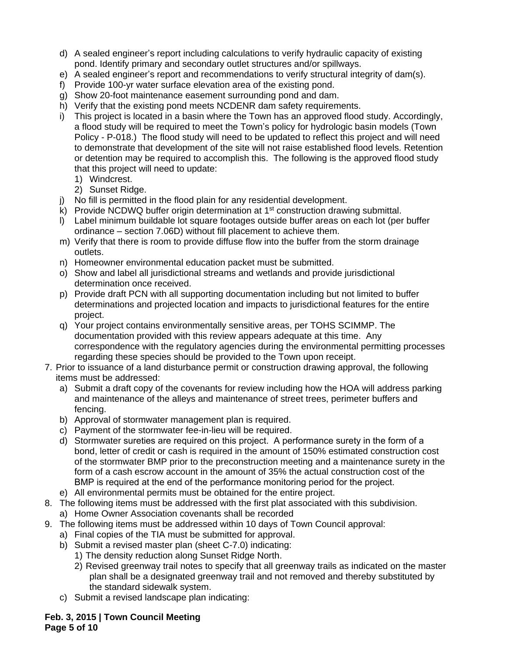- d) A sealed engineer's report including calculations to verify hydraulic capacity of existing pond. Identify primary and secondary outlet structures and/or spillways.
- e) A sealed engineer's report and recommendations to verify structural integrity of dam(s).
- f) Provide 100-yr water surface elevation area of the existing pond.
- g) Show 20-foot maintenance easement surrounding pond and dam.
- h) Verify that the existing pond meets NCDENR dam safety requirements.
- i) This project is located in a basin where the Town has an approved flood study. Accordingly, a flood study will be required to meet the Town's policy for hydrologic basin models (Town Policy - P-018.) The flood study will need to be updated to reflect this project and will need to demonstrate that development of the site will not raise established flood levels. Retention or detention may be required to accomplish this. The following is the approved flood study that this project will need to update:
	- 1) Windcrest.
	- 2) Sunset Ridge.
- j) No fill is permitted in the flood plain for any residential development.
- k) Provide NCDWQ buffer origin determination at  $1<sup>st</sup>$  construction drawing submittal.
- l) Label minimum buildable lot square footages outside buffer areas on each lot (per buffer ordinance – section 7.06D) without fill placement to achieve them.
- m) Verify that there is room to provide diffuse flow into the buffer from the storm drainage outlets.
- n) Homeowner environmental education packet must be submitted.
- o) Show and label all jurisdictional streams and wetlands and provide jurisdictional determination once received.
- p) Provide draft PCN with all supporting documentation including but not limited to buffer determinations and projected location and impacts to jurisdictional features for the entire project.
- q) Your project contains environmentally sensitive areas, per TOHS SCIMMP. The documentation provided with this review appears adequate at this time. Any correspondence with the regulatory agencies during the environmental permitting processes regarding these species should be provided to the Town upon receipt.
- 7. Prior to issuance of a land disturbance permit or construction drawing approval, the following items must be addressed:
	- a) Submit a draft copy of the covenants for review including how the HOA will address parking and maintenance of the alleys and maintenance of street trees, perimeter buffers and fencing.
	- b) Approval of stormwater management plan is required.
	- c) Payment of the stormwater fee-in-lieu will be required.
	- d) Stormwater sureties are required on this project. A performance surety in the form of a bond, letter of credit or cash is required in the amount of 150% estimated construction cost of the stormwater BMP prior to the preconstruction meeting and a maintenance surety in the form of a cash escrow account in the amount of 35% the actual construction cost of the BMP is required at the end of the performance monitoring period for the project.
	- e) All environmental permits must be obtained for the entire project.
- 8. The following items must be addressed with the first plat associated with this subdivision. a) Home Owner Association covenants shall be recorded
- 9. The following items must be addressed within 10 days of Town Council approval:
	- a) Final copies of the TIA must be submitted for approval.
	- b) Submit a revised master plan (sheet C-7.0) indicating:
		- 1) The density reduction along Sunset Ridge North.
		- 2) Revised greenway trail notes to specify that all greenway trails as indicated on the master plan shall be a designated greenway trail and not removed and thereby substituted by the standard sidewalk system.
	- c) Submit a revised landscape plan indicating:

**Feb. 3, 2015 | Town Council Meeting Page 5 of 10**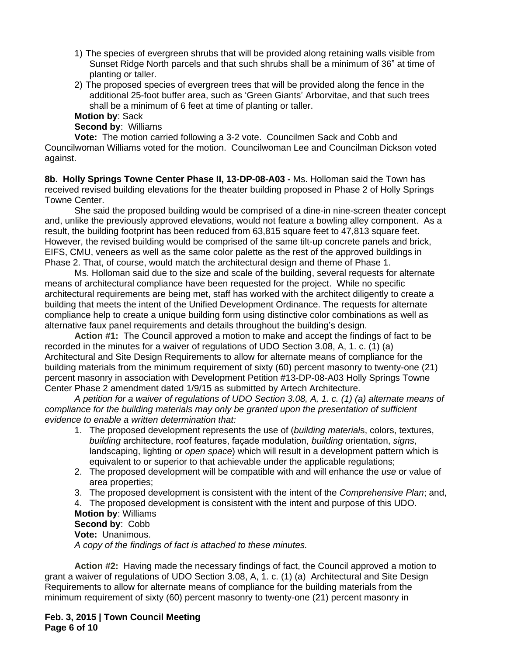- 1) The species of evergreen shrubs that will be provided along retaining walls visible from Sunset Ridge North parcels and that such shrubs shall be a minimum of 36" at time of planting or taller.
- 2) The proposed species of evergreen trees that will be provided along the fence in the additional 25-foot buffer area, such as 'Green Giants' Arborvitae, and that such trees shall be a minimum of 6 feet at time of planting or taller.

## **Motion by**: Sack

**Second by**: Williams

**Vote:** The motion carried following a 3-2 vote. Councilmen Sack and Cobb and Councilwoman Williams voted for the motion. Councilwoman Lee and Councilman Dickson voted against.

**8b. Holly Springs Towne Center Phase II, 13-DP-08-A03 -** Ms. Holloman said the Town has received revised building elevations for the theater building proposed in Phase 2 of Holly Springs Towne Center.

She said the proposed building would be comprised of a dine-in nine-screen theater concept and, unlike the previously approved elevations, would not feature a bowling alley component. As a result, the building footprint has been reduced from 63,815 square feet to 47,813 square feet. However, the revised building would be comprised of the same tilt-up concrete panels and brick, EIFS, CMU, veneers as well as the same color palette as the rest of the approved buildings in Phase 2. That, of course, would match the architectural design and theme of Phase 1.

Ms. Holloman said due to the size and scale of the building, several requests for alternate means of architectural compliance have been requested for the project. While no specific architectural requirements are being met, staff has worked with the architect diligently to create a building that meets the intent of the Unified Development Ordinance. The requests for alternate compliance help to create a unique building form using distinctive color combinations as well as alternative faux panel requirements and details throughout the building's design.

**Action #1:** The Council approved a motion to make and accept the findings of fact to be recorded in the minutes for a waiver of regulations of UDO Section 3.08, A, 1. c. (1) (a) Architectural and Site Design Requirements to allow for alternate means of compliance for the building materials from the minimum requirement of sixty (60) percent masonry to twenty-one (21) percent masonry in association with Development Petition #13-DP-08-A03 Holly Springs Towne Center Phase 2 amendment dated 1/9/15 as submitted by Artech Architecture.

*A petition for a waiver of regulations of UDO Section 3.08, A, 1. c. (1) (a) alternate means of compliance for the building materials may only be granted upon the presentation of sufficient evidence to enable a written determination that:*

- 1. The proposed development represents the use of (*building material*s, colors, textures, *building* architecture, roof features, façade modulation, *building* orientation, *signs*, landscaping, lighting or *open space*) which will result in a development pattern which is equivalent to or superior to that achievable under the applicable regulations;
- 2. The proposed development will be compatible with and will enhance the *use* or value of area properties;
- 3. The proposed development is consistent with the intent of the *Comprehensive Plan*; and,
- 4. The proposed development is consistent with the intent and purpose of this UDO.

**Motion by**: Williams

**Second by**: Cobb **Vote:** Unanimous.

*A copy of the findings of fact is attached to these minutes.*

**Action #2:** Having made the necessary findings of fact, the Council approved a motion to grant a waiver of regulations of UDO Section 3.08, A, 1. c. (1) (a)Architectural and Site Design Requirements to allow for alternate means of compliance for the building materials from the minimum requirement of sixty (60) percent masonry to twenty-one (21) percent masonry in

**Feb. 3, 2015 | Town Council Meeting Page 6 of 10**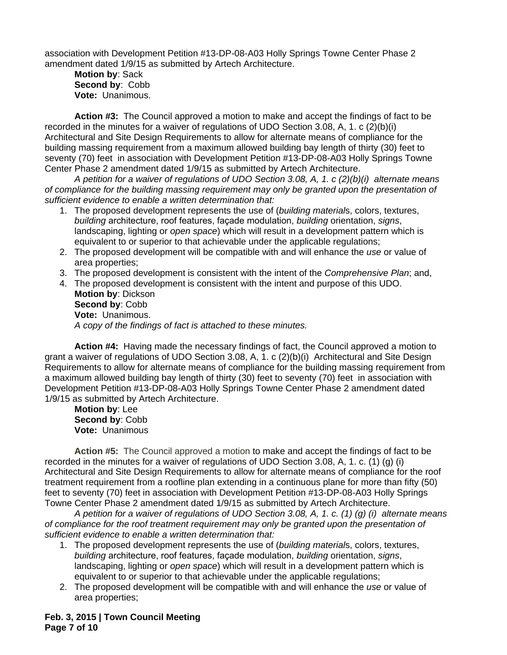association with Development Petition #13-DP-08-A03 Holly Springs Towne Center Phase 2 amendment dated 1/9/15 as submitted by Artech Architecture.

**Motion by**: Sack **Second by**: Cobb **Vote:** Unanimous.

**Action #3:** The Council approved a motion to make and accept the findings of fact to be recorded in the minutes for a waiver of regulations of UDO Section 3.08, A, 1. c (2)(b)(i) Architectural and Site Design Requirements to allow for alternate means of compliance for the building massing requirement from a maximum allowed building bay length of thirty (30) feet to seventy (70) feet in association with Development Petition #13-DP-08-A03 Holly Springs Towne Center Phase 2 amendment dated 1/9/15 as submitted by Artech Architecture.

*A petition for a waiver of regulations of UDO Section 3.08, A, 1. c (2)(b)(i) alternate means of compliance for the building massing requirement may only be granted upon the presentation of sufficient evidence to enable a written determination that:*

- 1. The proposed development represents the use of (*building material*s, colors, textures, *building* architecture, roof features, façade modulation, *building* orientation, *signs*, landscaping, lighting or *open space*) which will result in a development pattern which is equivalent to or superior to that achievable under the applicable regulations;
- 2. The proposed development will be compatible with and will enhance the *use* or value of area properties;
- 3. The proposed development is consistent with the intent of the *Comprehensive Plan*; and,
- 4. The proposed development is consistent with the intent and purpose of this UDO. **Motion by**: Dickson **Second by**: Cobb **Vote:** Unanimous.

*A copy of the findings of fact is attached to these minutes.*

**Action #4:** Having made the necessary findings of fact, the Council approved a motion to grant a waiver of regulations of UDO Section 3.08, A, 1. c (2)(b)(i)Architectural and Site Design Requirements to allow for alternate means of compliance for the building massing requirement from a maximum allowed building bay length of thirty (30) feet to seventy (70) feet in association with Development Petition #13-DP-08-A03 Holly Springs Towne Center Phase 2 amendment dated 1/9/15 as submitted by Artech Architecture.

**Motion by**: Lee **Second by**: Cobb **Vote:** Unanimous

**Action #5:** The Council approved a motion to make and accept the findings of fact to be recorded in the minutes for a waiver of regulations of UDO Section 3.08, A, 1. c. (1) (g) (i) Architectural and Site Design Requirements to allow for alternate means of compliance for the roof treatment requirement from a roofline plan extending in a continuous plane for more than fifty (50) feet to seventy (70) feet in association with Development Petition #13-DP-08-A03 Holly Springs Towne Center Phase 2 amendment dated 1/9/15 as submitted by Artech Architecture.

*A petition for a waiver of regulations of UDO Section 3.08, A, 1. c. (1) (g) (i) alternate means of compliance for the roof treatment requirement may only be granted upon the presentation of sufficient evidence to enable a written determination that:*

- 1. The proposed development represents the use of (*building material*s, colors, textures, *building* architecture, roof features, façade modulation, *building* orientation, *signs*, landscaping, lighting or *open space*) which will result in a development pattern which is equivalent to or superior to that achievable under the applicable regulations;
- 2. The proposed development will be compatible with and will enhance the *use* or value of area properties;

**Feb. 3, 2015 | Town Council Meeting Page 7 of 10**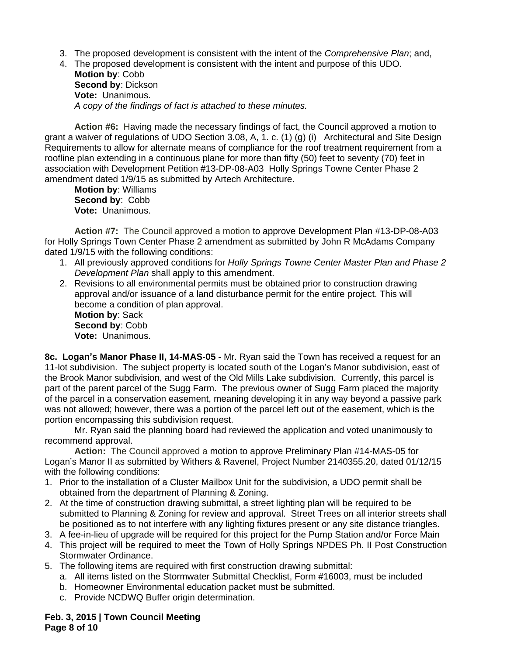- 3. The proposed development is consistent with the intent of the *Comprehensive Plan*; and,
- 4. The proposed development is consistent with the intent and purpose of this UDO. **Motion by**: Cobb **Second by**: Dickson

**Vote:** Unanimous. *A copy of the findings of fact is attached to these minutes.*

**Action #6:** Having made the necessary findings of fact, the Council approved a motion to grant a waiver of regulations of UDO Section 3.08, A, 1. c. (1) (g) (i)Architectural and Site Design Requirements to allow for alternate means of compliance for the roof treatment requirement from a roofline plan extending in a continuous plane for more than fifty (50) feet to seventy (70) feet in association with Development Petition #13-DP-08-A03 Holly Springs Towne Center Phase 2 amendment dated 1/9/15 as submitted by Artech Architecture.

**Motion by**: Williams **Second by**: Cobb **Vote:** Unanimous.

**Action #7:** The Council approved a motion to approve Development Plan #13-DP-08-A03 for Holly Springs Town Center Phase 2 amendment as submitted by John R McAdams Company dated 1/9/15 with the following conditions:

- 1. All previously approved conditions for *Holly Springs Towne Center Master Plan and Phase 2 Development Plan* shall apply to this amendment.
- 2. Revisions to all environmental permits must be obtained prior to construction drawing approval and/or issuance of a land disturbance permit for the entire project. This will become a condition of plan approval. **Motion by**: Sack **Second by**: Cobb

**Vote:** Unanimous.

**8c. Logan's Manor Phase II, 14-MAS-05 -** Mr. Ryan said the Town has received a request for an 11-lot subdivision. The subject property is located south of the Logan's Manor subdivision, east of the Brook Manor subdivision, and west of the Old Mills Lake subdivision. Currently, this parcel is part of the parent parcel of the Sugg Farm. The previous owner of Sugg Farm placed the majority of the parcel in a conservation easement, meaning developing it in any way beyond a passive park was not allowed; however, there was a portion of the parcel left out of the easement, which is the portion encompassing this subdivision request.

Mr. Ryan said the planning board had reviewed the application and voted unanimously to recommend approval.

**Action:** The Council approved a motion to approve Preliminary Plan #14-MAS-05 for Logan's Manor II as submitted by Withers & Ravenel, Project Number 2140355.20, dated 01/12/15 with the following conditions:

- 1. Prior to the installation of a Cluster Mailbox Unit for the subdivision, a UDO permit shall be obtained from the department of Planning & Zoning.
- 2. At the time of construction drawing submittal, a street lighting plan will be required to be submitted to Planning & Zoning for review and approval. Street Trees on all interior streets shall be positioned as to not interfere with any lighting fixtures present or any site distance triangles.
- 3. A fee-in-lieu of upgrade will be required for this project for the Pump Station and/or Force Main
- 4. This project will be required to meet the Town of Holly Springs NPDES Ph. II Post Construction Stormwater Ordinance.
- 5. The following items are required with first construction drawing submittal:
	- a. All items listed on the Stormwater Submittal Checklist, Form #16003, must be included
	- b. Homeowner Environmental education packet must be submitted.
	- c. Provide NCDWQ Buffer origin determination.

**Feb. 3, 2015 | Town Council Meeting Page 8 of 10**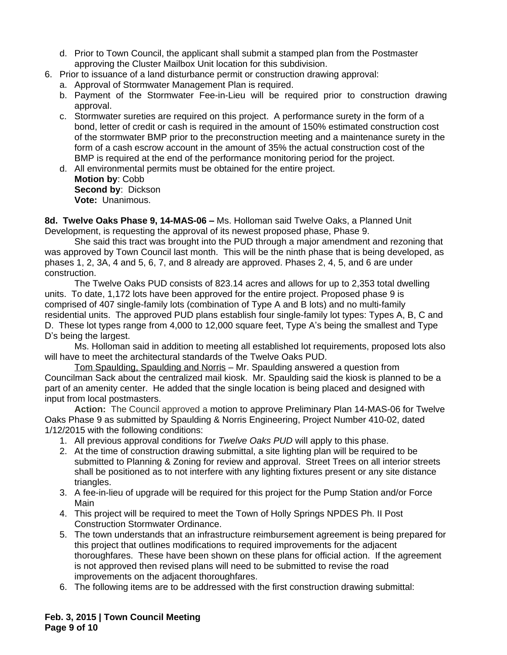- d. Prior to Town Council, the applicant shall submit a stamped plan from the Postmaster approving the Cluster Mailbox Unit location for this subdivision.
- 6. Prior to issuance of a land disturbance permit or construction drawing approval:
	- a. Approval of Stormwater Management Plan is required.
	- b. Payment of the Stormwater Fee-in-Lieu will be required prior to construction drawing approval.
	- c. Stormwater sureties are required on this project. A performance surety in the form of a bond, letter of credit or cash is required in the amount of 150% estimated construction cost of the stormwater BMP prior to the preconstruction meeting and a maintenance surety in the form of a cash escrow account in the amount of 35% the actual construction cost of the BMP is required at the end of the performance monitoring period for the project.
	- d. All environmental permits must be obtained for the entire project. **Motion by**: Cobb **Second by**: Dickson **Vote:** Unanimous.

**8d. Twelve Oaks Phase 9, 14-MAS-06 –** Ms. Holloman said Twelve Oaks, a Planned Unit Development, is requesting the approval of its newest proposed phase, Phase 9.

She said this tract was brought into the PUD through a major amendment and rezoning that was approved by Town Council last month. This will be the ninth phase that is being developed, as phases 1, 2, 3A, 4 and 5, 6, 7, and 8 already are approved. Phases 2, 4, 5, and 6 are under construction.

The Twelve Oaks PUD consists of 823.14 acres and allows for up to 2,353 total dwelling units. To date, 1,172 lots have been approved for the entire project. Proposed phase 9 is comprised of 407 single-family lots (combination of Type A and B lots) and no multi-family residential units. The approved PUD plans establish four single-family lot types: Types A, B, C and D. These lot types range from 4,000 to 12,000 square feet, Type A's being the smallest and Type D's being the largest.

Ms. Holloman said in addition to meeting all established lot requirements, proposed lots also will have to meet the architectural standards of the Twelve Oaks PUD.

Tom Spaulding, Spaulding and Norris – Mr. Spaulding answered a question from Councilman Sack about the centralized mail kiosk. Mr. Spaulding said the kiosk is planned to be a part of an amenity center. He added that the single location is being placed and designed with input from local postmasters.

**Action:** The Council approved a motion to approve Preliminary Plan 14-MAS-06 for Twelve Oaks Phase 9 as submitted by Spaulding & Norris Engineering, Project Number 410-02, dated 1/12/2015 with the following conditions:

- 1. All previous approval conditions for *Twelve Oaks PUD* will apply to this phase.
- 2. At the time of construction drawing submittal, a site lighting plan will be required to be submitted to Planning & Zoning for review and approval. Street Trees on all interior streets shall be positioned as to not interfere with any lighting fixtures present or any site distance triangles.
- 3. A fee-in-lieu of upgrade will be required for this project for the Pump Station and/or Force Main
- 4. This project will be required to meet the Town of Holly Springs NPDES Ph. II Post Construction Stormwater Ordinance.
- 5. The town understands that an infrastructure reimbursement agreement is being prepared for this project that outlines modifications to required improvements for the adjacent thoroughfares. These have been shown on these plans for official action. If the agreement is not approved then revised plans will need to be submitted to revise the road improvements on the adjacent thoroughfares.
- 6. The following items are to be addressed with the first construction drawing submittal:

**Feb. 3, 2015 | Town Council Meeting Page 9 of 10**